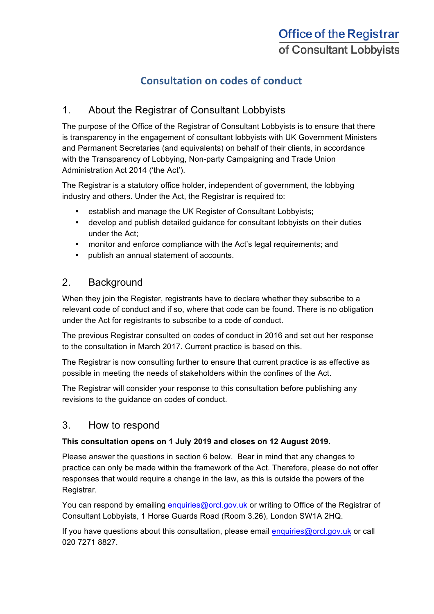# **Consultation on codes of conduct**

## 1. About the Registrar of Consultant Lobbyists

The purpose of the Office of the Registrar of Consultant Lobbyists is to ensure that there is transparency in the engagement of consultant lobbyists with UK Government Ministers and Permanent Secretaries (and equivalents) on behalf of their clients, in accordance with the Transparency of Lobbying, Non-party Campaigning and Trade Union Administration Act 2014 ('the Act').

The Registrar is a statutory office holder, independent of government, the lobbying industry and others. Under the Act, the Registrar is required to:

- establish and manage the UK Register of Consultant Lobbyists;
- develop and publish detailed guidance for consultant lobbyists on their duties under the Act;
- monitor and enforce compliance with the Act's legal requirements; and
- publish an annual statement of accounts.

## 2. Background

When they join the Register, registrants have to declare whether they subscribe to a relevant code of conduct and if so, where that code can be found. There is no obligation under the Act for registrants to subscribe to a code of conduct.

The previous Registrar consulted on codes of conduct in 2016 and set out her response to the consultation in March 2017. Current practice is based on this.

The Registrar is now consulting further to ensure that current practice is as effective as possible in meeting the needs of stakeholders within the confines of the Act.

The Registrar will consider your response to this consultation before publishing any revisions to the guidance on codes of conduct.

## 3. How to respond

#### **This consultation opens on 1 July 2019 and closes on 12 August 2019.**

Please answer the questions in section 6 below. Bear in mind that any changes to practice can only be made within the framework of the Act. Therefore, please do not offer responses that would require a change in the law, as this is outside the powers of the Registrar.

You can respond by emailing enquiries@orcl.gov.uk or writing to Office of the Registrar of Consultant Lobbyists, 1 Horse Guards Road (Room 3.26), London SW1A 2HQ.

If you have questions about this consultation, please email enquiries@orcl.gov.uk or call 020 7271 8827.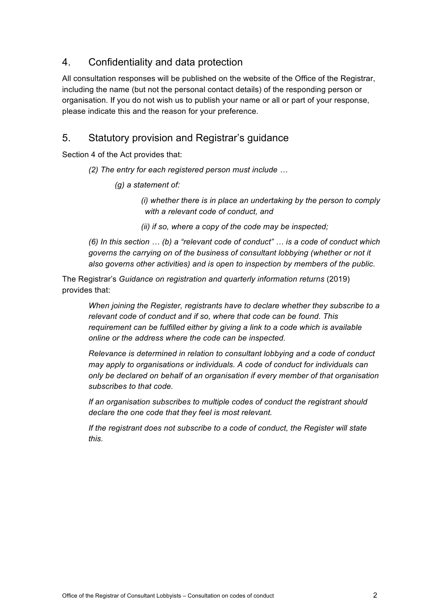## 4. Confidentiality and data protection

All consultation responses will be published on the website of the Office of the Registrar, including the name (but not the personal contact details) of the responding person or organisation. If you do not wish us to publish your name or all or part of your response, please indicate this and the reason for your preference.

## 5. Statutory provision and Registrar's guidance

Section 4 of the Act provides that:

#### *(2) The entry for each registered person must include …*

*(g) a statement of:*

*(i) whether there is in place an undertaking by the person to comply with a relevant code of conduct, and*

*(ii) if so, where a copy of the code may be inspected;*

*(6) In this section … (b) a "relevant code of conduct" … is a code of conduct which governs the carrying on of the business of consultant lobbying (whether or not it also governs other activities) and is open to inspection by members of the public.*

The Registrar's *Guidance on registration and quarterly information returns* (2019) provides that:

*When joining the Register, registrants have to declare whether they subscribe to a relevant code of conduct and if so, where that code can be found. This requirement can be fulfilled either by giving a link to a code which is available online or the address where the code can be inspected.* 

*Relevance is determined in relation to consultant lobbying and a code of conduct may apply to organisations or individuals. A code of conduct for individuals can only be declared on behalf of an organisation if every member of that organisation subscribes to that code.* 

*If an organisation subscribes to multiple codes of conduct the registrant should declare the one code that they feel is most relevant.* 

*If the registrant does not subscribe to a code of conduct, the Register will state this.*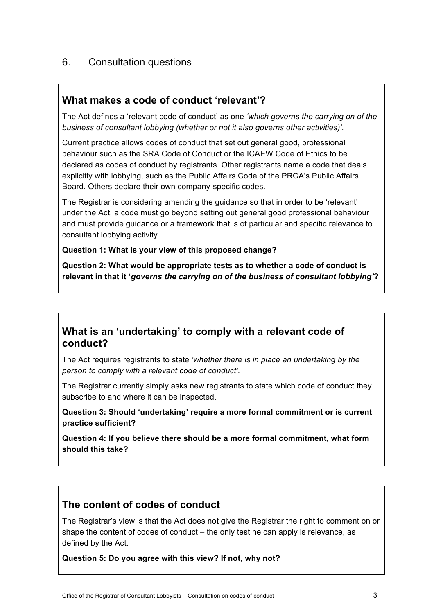## 6. Consultation questions

### **What makes a code of conduct 'relevant'?**

The Act defines a 'relevant code of conduct' as one *'which governs the carrying on of the business of consultant lobbying (whether or not it also governs other activities)'.*

Current practice allows codes of conduct that set out general good, professional behaviour such as the SRA Code of Conduct or the ICAEW Code of Ethics to be declared as codes of conduct by registrants. Other registrants name a code that deals explicitly with lobbying, such as the Public Affairs Code of the PRCA's Public Affairs Board. Others declare their own company-specific codes.

The Registrar is considering amending the guidance so that in order to be 'relevant' under the Act, a code must go beyond setting out general good professional behaviour and must provide guidance or a framework that is of particular and specific relevance to consultant lobbying activity.

#### **Question 1: What is your view of this proposed change?**

**Question 2: What would be appropriate tests as to whether a code of conduct is relevant in that it '***governs the carrying on of the business of consultant lobbying'***?**

## **What is an 'undertaking' to comply with a relevant code of conduct?**

The Act requires registrants to state *'whether there is in place an undertaking by the person to comply with a relevant code of conduct'.* 

The Registrar currently simply asks new registrants to state which code of conduct they subscribe to and where it can be inspected.

**Question 3: Should 'undertaking' require a more formal commitment or is current practice sufficient?** 

**Question 4: If you believe there should be a more formal commitment, what form should this take?**

## **The content of codes of conduct**

The Registrar's view is that the Act does not give the Registrar the right to comment on or shape the content of codes of conduct – the only test he can apply is relevance, as defined by the Act.

**Question 5: Do you agree with this view? If not, why not?**